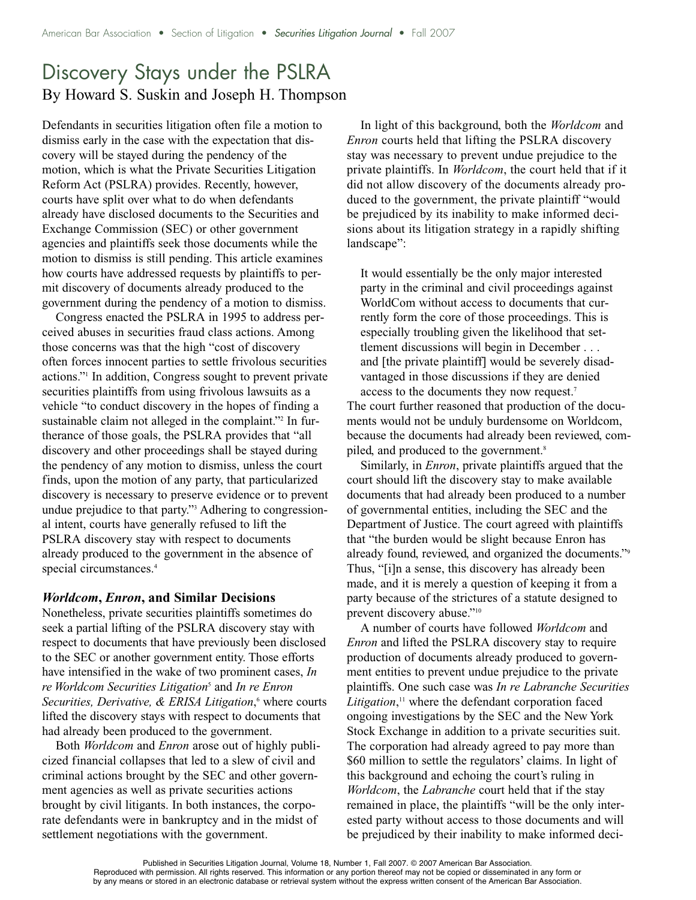## Discovery Stays under the PSLRA By Howard S. Suskin and Joseph H. Thompson

Defendants in securities litigation often file a motion to dismiss early in the case with the expectation that discovery will be stayed during the pendency of the motion, which is what the Private Securities Litigation Reform Act (PSLRA) provides. Recently, however, courts have split over what to do when defendants already have disclosed documents to the Securities and Exchange Commission (SEC) or other government agencies and plaintiffs seek those documents while the motion to dismiss is still pending. This article examines how courts have addressed requests by plaintiffs to permit discovery of documents already produced to the government during the pendency of a motion to dismiss.

Congress enacted the PSLRA in 1995 to address perceived abuses in securities fraud class actions. Among those concerns was that the high "cost of discovery often forces innocent parties to settle frivolous securities actions."1 In addition, Congress sought to prevent private securities plaintiffs from using frivolous lawsuits as a vehicle "to conduct discovery in the hopes of finding a sustainable claim not alleged in the complaint."<sup>2</sup> In furtherance of those goals, the PSLRA provides that "all discovery and other proceedings shall be stayed during the pendency of any motion to dismiss, unless the court finds, upon the motion of any party, that particularized discovery is necessary to preserve evidence or to prevent undue prejudice to that party."3 Adhering to congressional intent, courts have generally refused to lift the PSLRA discovery stay with respect to documents already produced to the government in the absence of special circumstances. 4

## *Worldcom***,** *Enron***, and Similar Decisions**

Nonetheless, private securities plaintiffs sometimes do seek a partial lifting of the PSLRA discovery stay with respect to documents that have previously been disclosed to the SEC or another government entity. Those efforts have intensified in the wake of two prominent cases, *In re Worldcom Securities Litigation*<sup>5</sup> and *In re Enron Securities, Derivative, & ERISA Litigation*, <sup>6</sup> where courts lifted the discovery stays with respect to documents that had already been produced to the government.

Both *Worldcom* and *Enron* arose out of highly publicized financial collapses that led to a slew of civil and criminal actions brought by the SEC and other government agencies as well as private securities actions brought by civil litigants. In both instances, the corporate defendants were in bankruptcy and in the midst of settlement negotiations with the government.

In light of this background, both the *Worldcom* and *Enron* courts held that lifting the PSLRA discovery stay was necessary to prevent undue prejudice to the private plaintiffs. In *Worldcom*, the court held that if it did not allow discovery of the documents already produced to the government, the private plaintiff "would be prejudiced by its inability to make informed decisions about its litigation strategy in a rapidly shifting landscape":

It would essentially be the only major interested party in the criminal and civil proceedings against WorldCom without access to documents that currently form the core of those proceedings. This is especially troubling given the likelihood that settlement discussions will begin in December . . . and [the private plaintiff] would be severely disadvantaged in those discussions if they are denied access to the documents they now request. 7 The court further reasoned that production of the documents would not be unduly burdensome on Worldcom, because the documents had already been reviewed, compiled, and produced to the government. 8

Similarly, in *Enron*, private plaintiffs argued that the court should lift the discovery stay to make available documents that had already been produced to a number of governmental entities, including the SEC and the Department of Justice. The court agreed with plaintiffs that "the burden would be slight because Enron has already found, reviewed, and organized the documents."9 Thus, "[i]n a sense, this discovery has already been made, and it is merely a question of keeping it from a party because of the strictures of a statute designed to prevent discovery abuse."10

A number of courts have followed *Worldcom* and *Enron* and lifted the PSLRA discovery stay to require production of documents already produced to government entities to prevent undue prejudice to the private plaintiffs. One such case was *In re Labranche Securities Litigation*, <sup>11</sup> where the defendant corporation faced ongoing investigations by the SEC and the New York Stock Exchange in addition to a private securities suit. The corporation had already agreed to pay more than \$60 million to settle the regulators' claims. In light of this background and echoing the court's ruling in *Worldcom*, the *Labranche* court held that if the stay remained in place, the plaintiffs "will be the only interested party without access to those documents and will be prejudiced by their inability to make informed deci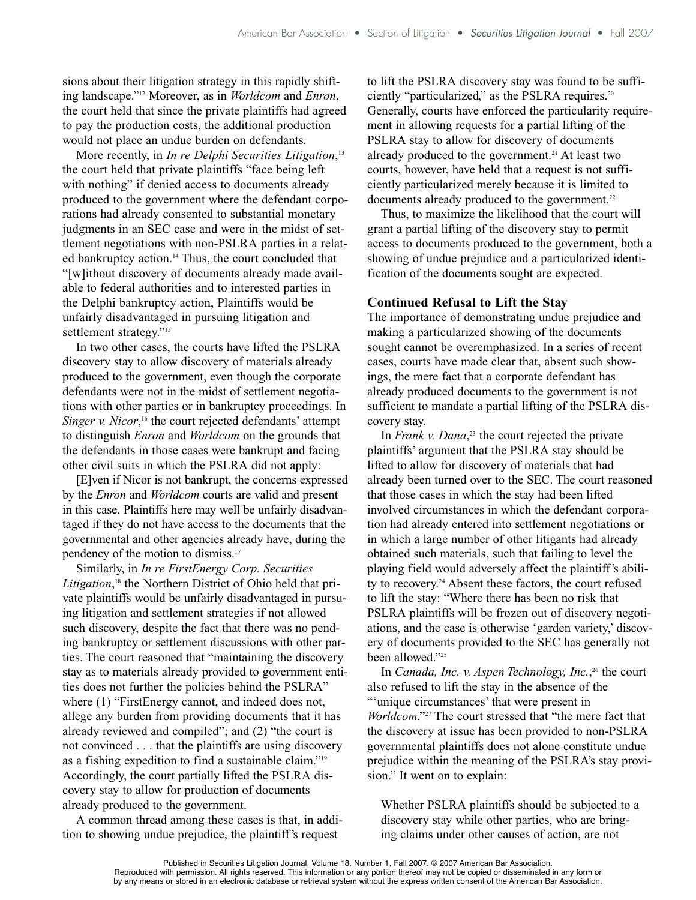sions about their litigation strategy in this rapidly shifting landscape."12 Moreover, as in *Worldcom* and *Enron*, the court held that since the private plaintiffs had agreed to pay the production costs, the additional production would not place an undue burden on defendants.

More recently, in *In re Delphi Securities Litigation*, 13 the court held that private plaintiffs "face being left with nothing" if denied access to documents already produced to the government where the defendant corporations had already consented to substantial monetary judgments in an SEC case and were in the midst of settlement negotiations with non-PSLRA parties in a related bankruptcy action. <sup>14</sup> Thus, the court concluded that "[w]ithout discovery of documents already made available to federal authorities and to interested parties in the Delphi bankruptcy action, Plaintiffs would be unfairly disadvantaged in pursuing litigation and settlement strategy."<sup>15</sup>

In two other cases, the courts have lifted the PSLRA discovery stay to allow discovery of materials already produced to the government, even though the corporate defendants were not in the midst of settlement negotiations with other parties or in bankruptcy proceedings. In *Singer v. Nicor*, <sup>16</sup> the court rejected defendants' attempt to distinguish *Enron* and *Worldcom* on the grounds that the defendants in those cases were bankrupt and facing other civil suits in which the PSLRA did not apply:

[E]ven if Nicor is not bankrupt, the concerns expressed by the *Enron* and *Worldcom* courts are valid and present in this case. Plaintiffs here may well be unfairly disadvantaged if they do not have access to the documents that the governmental and other agencies already have, during the pendency of the motion to dismiss. 17

Similarly, in *In re FirstEnergy Corp. Securities* Litigation,<sup>18</sup> the Northern District of Ohio held that private plaintiffs would be unfairly disadvantaged in pursuing litigation and settlement strategies if not allowed such discovery, despite the fact that there was no pending bankruptcy or settlement discussions with other parties. The court reasoned that "maintaining the discovery stay as to materials already provided to government entities does not further the policies behind the PSLRA" where (1) "FirstEnergy cannot, and indeed does not, allege any burden from providing documents that it has already reviewed and compiled"; and (2) "the court is not convinced . . . that the plaintiffs are using discovery as a fishing expedition to find a sustainable claim."19 Accordingly, the court partially lifted the PSLRA discovery stay to allow for production of documents already produced to the government.

A common thread among these cases is that, in addition to showing undue prejudice, the plaintiff's request

to lift the PSLRA discovery stay was found to be sufficiently "particularized," as the PSLRA requires. 20 Generally, courts have enforced the particularity requirement in allowing requests for a partial lifting of the PSLRA stay to allow for discovery of documents already produced to the government. <sup>21</sup> At least two courts, however, have held that a request is not sufficiently particularized merely because it is limited to documents already produced to the government. 22

Thus, to maximize the likelihood that the court will grant a partial lifting of the discovery stay to permit access to documents produced to the government, both a showing of undue prejudice and a particularized identification of the documents sought are expected.

## **Continued Refusal to Lift the Stay**

The importance of demonstrating undue prejudice and making a particularized showing of the documents sought cannot be overemphasized. In a series of recent cases, courts have made clear that, absent such showings, the mere fact that a corporate defendant has already produced documents to the government is not sufficient to mandate a partial lifting of the PSLRA discovery stay.

In *Frank v. Dana*, <sup>23</sup> the court rejected the private plaintiffs' argument that the PSLRA stay should be lifted to allow for discovery of materials that had already been turned over to the SEC. The court reasoned that those cases in which the stay had been lifted involved circumstances in which the defendant corporation had already entered into settlement negotiations or in which a large number of other litigants had already obtained such materials, such that failing to level the playing field would adversely affect the plaintiff's ability to recovery. <sup>24</sup> Absent these factors, the court refused to lift the stay: "Where there has been no risk that PSLRA plaintiffs will be frozen out of discovery negotiations, and the case is otherwise 'garden variety,' discovery of documents provided to the SEC has generally not been allowed."<sup>25</sup>

In *Canada, Inc. v. Aspen Technology, Inc.*, <sup>26</sup> the court also refused to lift the stay in the absence of the "'unique circumstances' that were present in *Worldcom*."27 The court stressed that "the mere fact that the discovery at issue has been provided to non-PSLRA governmental plaintiffs does not alone constitute undue prejudice within the meaning of the PSLRA's stay provision." It went on to explain:

Whether PSLRA plaintiffs should be subjected to a discovery stay while other parties, who are bringing claims under other causes of action, are not